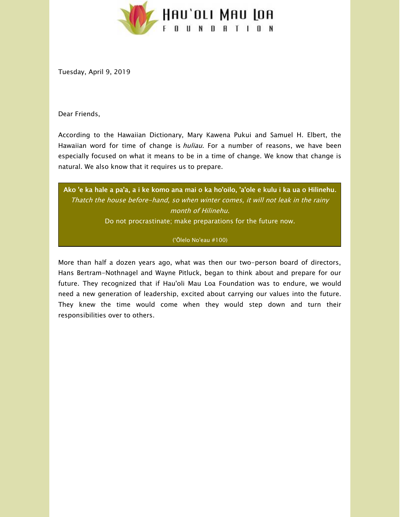

Tuesday, April 9, 2019

## Dear Friends,

According to the Hawaiian Dictionary, Mary Kawena Pukui and Samuel H. Elbert, the Hawaiian word for time of change is *huliau*. For a number of reasons, we have been especially focused on what it means to be in a time of change. We know that change is natural. We also know that it requires us to prepare.

Ako 'e ka hale a pa'a, a i ke komo ana mai o ka ho'oilo, 'a'ole e kulu i ka ua o Hilinehu. Thatch the house before-hand, so when winter comes, it will not leak in the rainy month of Hilinehu. Do not procrastinate; make preparations for the future now.

## (ʻŌlelo No'eau #100)

More than half a dozen years ago, what was then our two-person board of directors, Hans Bertram-Nothnagel and Wayne Pitluck, began to think about and prepare for our future. They recognized that if Hau'oli Mau Loa Foundation was to endure, we would need a new generation of leadership, excited about carrying our values into the future. They knew the time would come when they would step down and turn their responsibilities over to others.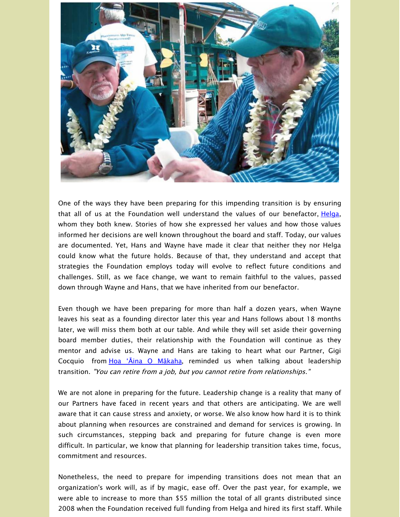

One of the ways they have been preparing for this impending transition is by ensuring that all of us at the Foundation well understand the values of our benefactor, [Helga](https://hauolimauloa.org/aboutus/background-history/?utm_source=20.+Year+in+Review%3A+2018&utm_campaign=Year+in+Review%3A+2018+%28April+9%2C+2019%29&utm_medium=email), whom they both knew. Stories of how she expressed her values and how those values informed her decisions are well known throughout the board and staff. Today, our values are documented. Yet, Hans and Wayne have made it clear that neither they nor Helga could know what the future holds. Because of that, they understand and accept that strategies the Foundation employs today will evolve to reflect future conditions and challenges. Still, as we face change, we want to remain faithful to the values, passed down through Wayne and Hans, that we have inherited from our benefactor.

Even though we have been preparing for more than half a dozen years, when Wayne leaves his seat as a founding director later this year and Hans follows about 18 months later, we will miss them both at our table. And while they will set aside their governing board member duties, their relationship with the Foundation will continue as they mentor and advise us. Wayne and Hans are taking to heart what our Partner, Gigi Cocquio from Hoa 'Aina O [Mākaha](https://hauolimauloa.org/partner/hoa-aina-o-makaha/?utm_source=20.+Year+in+Review%3A+2018&utm_campaign=Year+in+Review%3A+2018+%28April+9%2C+2019%29&utm_medium=email), reminded us when talking about leadership transition. "You can retire from <sup>a</sup> job, but you cannot retire from relationships."

We are not alone in preparing for the future. Leadership change is a reality that many of our Partners have faced in recent years and that others are anticipating. We are well aware that it can cause stress and anxiety, or worse. We also know how hard it is to think about planning when resources are constrained and demand for services is growing. In such circumstances, stepping back and preparing for future change is even more difficult. In particular, we know that planning for leadership transition takes time, focus, commitment and resources.

Nonetheless, the need to prepare for impending transitions does not mean that an organization's work will, as if by magic, ease off. Over the past year, for example, we were able to increase to more than \$55 million the total of all grants distributed since 2008 when the Foundation received full funding from Helga and hired its first staff. While